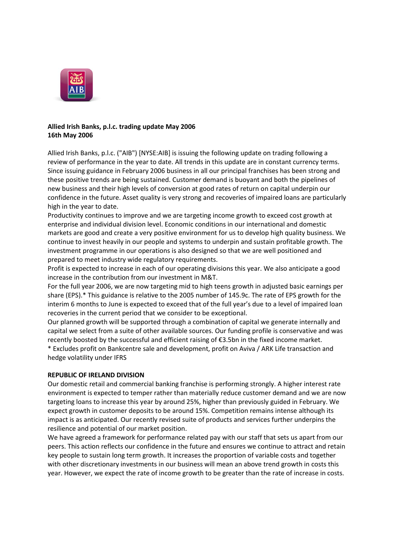

# **Allied Irish Banks, p.l.c. trading update May 2006 16th May 2006**

Allied Irish Banks, p.l.c. ("AIB") [NYSE:AIB] is issuing the following update on trading following a review of performance in the year to date. All trends in this update are in constant currency terms. Since issuing guidance in February 2006 business in all our principal franchises has been strong and these positive trends are being sustained. Customer demand is buoyant and both the pipelines of new business and their high levels of conversion at good rates of return on capital underpin our confidence in the future. Asset quality is very strong and recoveries of impaired loans are particularly high in the year to date.

Productivity continues to improve and we are targeting income growth to exceed cost growth at enterprise and individual division level. Economic conditions in our international and domestic markets are good and create a very positive environment for us to develop high quality business. We continue to invest heavily in our people and systems to underpin and sustain profitable growth. The investment programme in our operations is also designed so that we are well positioned and prepared to meet industry wide regulatory requirements.

Profit is expected to increase in each of our operating divisions this year. We also anticipate a good increase in the contribution from our investment in M&T.

For the full year 2006, we are now targeting mid to high teens growth in adjusted basic earnings per share (EPS).\* This guidance is relative to the 2005 number of 145.9c. The rate of EPS growth for the interim 6 months to June is expected to exceed that of the full year's due to a level of impaired loan recoveries in the current period that we consider to be exceptional.

Our planned growth will be supported through a combination of capital we generate internally and capital we select from a suite of other available sources. Our funding profile is conservative and was recently boosted by the successful and efficient raising of €3.5bn in the fixed income market. \* Excludes profit on Bankcentre sale and development, profit on Aviva / ARK Life transaction and hedge volatility under IFRS

# **REPUBLIC OF IRELAND DIVISION**

Our domestic retail and commercial banking franchise is performing strongly. A higher interest rate environment is expected to temper rather than materially reduce customer demand and we are now targeting loans to increase this year by around 25%, higher than previously guided in February. We expect growth in customer deposits to be around 15%. Competition remains intense although its impact is as anticipated. Our recently revised suite of products and services further underpins the resilience and potential of our market position.

We have agreed a framework for performance related pay with our staff that sets us apart from our peers. This action reflects our confidence in the future and ensures we continue to attract and retain key people to sustain long term growth. It increases the proportion of variable costs and together with other discretionary investments in our business will mean an above trend growth in costs this year. However, we expect the rate of income growth to be greater than the rate of increase in costs.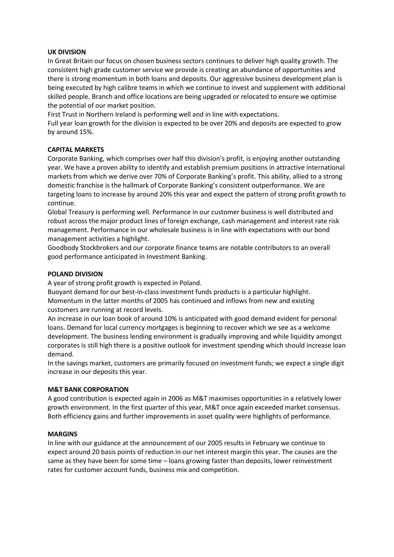# **UK DIVISION**

In Great Britain our focus on chosen business sectors continues to deliver high quality growth. The consistent high grade customer service we provide is creating an abundance of opportunities and there is strong momentum in both loans and deposits. Our aggressive business development plan is being executed by high calibre teams in which we continue to invest and supplement with additional skilled people. Branch and office locations are being upgraded or relocated to ensure we optimise the potential of our market position.

First Trust in Northern Ireland is performing well and in line with expectations.

Full year loan growth for the division is expected to be over 20% and deposits are expected to grow by around 15%.

### **CAPITAL MARKETS**

Corporate Banking, which comprises over half this division's profit, is enjoying another outstanding year. We have a proven ability to identify and establish premium positions in attractive international markets from which we derive over 70% of Corporate Banking's profit. This ability, allied to a strong domestic franchise is the hallmark of Corporate Banking's consistent outperformance. We are targeting loans to increase by around 20% this year and expect the pattern of strong profit growth to continue.

Global Treasury is performing well. Performance in our customer business is well distributed and robust across the major product lines of foreign exchange, cash management and interest rate risk management. Performance in our wholesale business is in line with expectations with our bond management activities a highlight.

Goodbody Stockbrokers and our corporate finance teams are notable contributors to an overall good performance anticipated in Investment Banking.

### **POLAND DIVISION**

A year of strong profit growth is expected in Poland.

Buoyant demand for our best-in-class investment funds products is a particular highlight. Momentum in the latter months of 2005 has continued and inflows from new and existing customers are running at record levels.

An increase in our loan book of around 10% is anticipated with good demand evident for personal loans. Demand for local currency mortgages is beginning to recover which we see as a welcome development. The business lending environment is gradually improving and while liquidity amongst corporates is still high there is a positive outlook for investment spending which should increase loan demand.

In the savings market, customers are primarily focused on investment funds; we expect a single digit increase in our deposits this year.

#### **M&T BANK CORPORATION**

A good contribution is expected again in 2006 as M&T maximises opportunities in a relatively lower growth environment. In the first quarter of this year, M&T once again exceeded market consensus. Both efficiency gains and further improvements in asset quality were highlights of performance.

#### **MARGINS**

In line with our guidance at the announcement of our 2005 results in February we continue to expect around 20 basis points of reduction in our net interest margin this year. The causes are the same as they have been for some time – loans growing faster than deposits, lower reinvestment rates for customer account funds, business mix and competition.